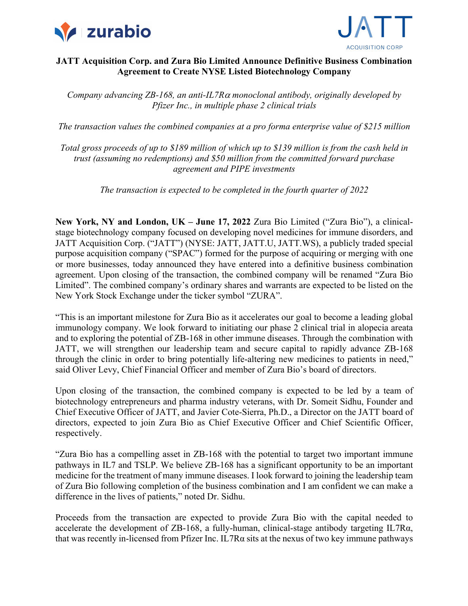



# **JATT Acquisition Corp. and Zura Bio Limited Announce Definitive Business Combination Agreement to Create NYSE Listed Biotechnology Company**

*Company advancing ZB-168, an anti-IL7R*<sup>a</sup> *monoclonal antibody, originally developed by Pfizer Inc., in multiple phase 2 clinical trials*

*The transaction values the combined companies at a pro forma enterprise value of \$215 million*

*Total gross proceeds of up to \$189 million of which up to \$139 million is from the cash held in trust (assuming no redemptions) and \$50 million from the committed forward purchase agreement and PIPE investments*

*The transaction is expected to be completed in the fourth quarter of 2022*

**New York, NY and London, UK – June 17, 2022** Zura Bio Limited ("Zura Bio"), a clinicalstage biotechnology company focused on developing novel medicines for immune disorders, and JATT Acquisition Corp. ("JATT") (NYSE: JATT, JATT.U, JATT.WS), a publicly traded special purpose acquisition company ("SPAC") formed for the purpose of acquiring or merging with one or more businesses, today announced they have entered into a definitive business combination agreement. Upon closing of the transaction, the combined company will be renamed "Zura Bio Limited". The combined company's ordinary shares and warrants are expected to be listed on the New York Stock Exchange under the ticker symbol "ZURA".

"This is an important milestone for Zura Bio as it accelerates our goal to become a leading global immunology company. We look forward to initiating our phase 2 clinical trial in alopecia areata and to exploring the potential of ZB-168 in other immune diseases. Through the combination with JATT, we will strengthen our leadership team and secure capital to rapidly advance ZB-168 through the clinic in order to bring potentially life-altering new medicines to patients in need," said Oliver Levy, Chief Financial Officer and member of Zura Bio's board of directors.

Upon closing of the transaction, the combined company is expected to be led by a team of biotechnology entrepreneurs and pharma industry veterans, with Dr. Someit Sidhu, Founder and Chief Executive Officer of JATT, and Javier Cote-Sierra, Ph.D., a Director on the JATT board of directors, expected to join Zura Bio as Chief Executive Officer and Chief Scientific Officer, respectively.

"Zura Bio has a compelling asset in ZB-168 with the potential to target two important immune pathways in IL7 and TSLP. We believe ZB-168 has a significant opportunity to be an important medicine for the treatment of many immune diseases. I look forward to joining the leadership team of Zura Bio following completion of the business combination and I am confident we can make a difference in the lives of patients," noted Dr. Sidhu.

Proceeds from the transaction are expected to provide Zura Bio with the capital needed to accelerate the development of ZB-168, a fully-human, clinical-stage antibody targeting IL7Rα, that was recently in-licensed from Pfizer Inc. IL7Rα sits at the nexus of two key immune pathways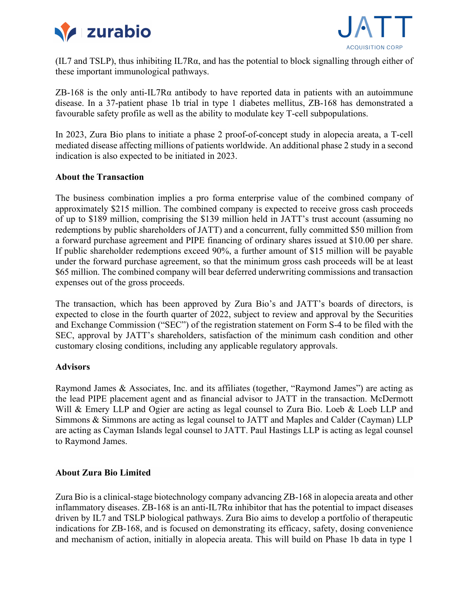



(IL7 and TSLP), thus inhibiting IL7Rα, and has the potential to block signalling through either of these important immunological pathways.

ZB-168 is the only anti-IL7Rα antibody to have reported data in patients with an autoimmune disease. In a 37-patient phase 1b trial in type 1 diabetes mellitus, ZB-168 has demonstrated a favourable safety profile as well as the ability to modulate key T-cell subpopulations.

In 2023, Zura Bio plans to initiate a phase 2 proof-of-concept study in alopecia areata, a T-cell mediated disease affecting millions of patients worldwide. An additional phase 2 study in a second indication is also expected to be initiated in 2023.

#### **About the Transaction**

The business combination implies a pro forma enterprise value of the combined company of approximately \$215 million. The combined company is expected to receive gross cash proceeds of up to \$189 million, comprising the \$139 million held in JATT's trust account (assuming no redemptions by public shareholders of JATT) and a concurrent, fully committed \$50 million from a forward purchase agreement and PIPE financing of ordinary shares issued at \$10.00 per share. If public shareholder redemptions exceed 90%, a further amount of \$15 million will be payable under the forward purchase agreement, so that the minimum gross cash proceeds will be at least \$65 million. The combined company will bear deferred underwriting commissions and transaction expenses out of the gross proceeds.

The transaction, which has been approved by Zura Bio's and JATT's boards of directors, is expected to close in the fourth quarter of 2022, subject to review and approval by the Securities and Exchange Commission ("SEC") of the registration statement on Form S-4 to be filed with the SEC, approval by JATT's shareholders, satisfaction of the minimum cash condition and other customary closing conditions, including any applicable regulatory approvals.

#### **Advisors**

Raymond James & Associates, Inc. and its affiliates (together, "Raymond James") are acting as the lead PIPE placement agent and as financial advisor to JATT in the transaction. McDermott Will & Emery LLP and Ogier are acting as legal counsel to Zura Bio. Loeb & Loeb LLP and Simmons & Simmons are acting as legal counsel to JATT and Maples and Calder (Cayman) LLP are acting as Cayman Islands legal counsel to JATT. Paul Hastings LLP is acting as legal counsel to Raymond James.

#### **About Zura Bio Limited**

Zura Bio is a clinical-stage biotechnology company advancing ZB-168 in alopecia areata and other inflammatory diseases. ZB-168 is an anti-IL7R $\alpha$  inhibitor that has the potential to impact diseases driven by IL7 and TSLP biological pathways. Zura Bio aims to develop a portfolio of therapeutic indications for ZB-168, and is focused on demonstrating its efficacy, safety, dosing convenience and mechanism of action, initially in alopecia areata. This will build on Phase 1b data in type 1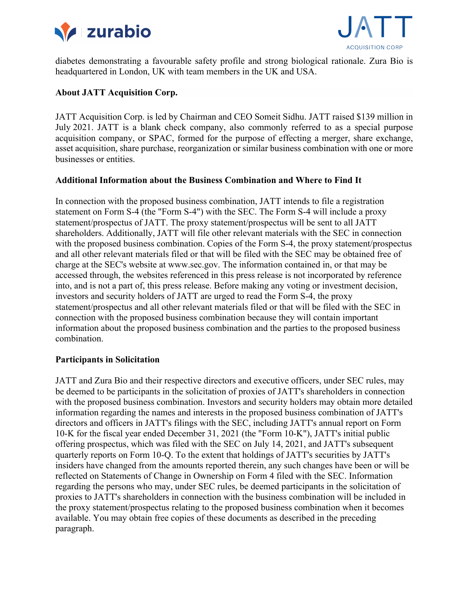



diabetes demonstrating a favourable safety profile and strong biological rationale. Zura Bio is headquartered in London, UK with team members in the UK and USA.

## **About JATT Acquisition Corp.**

JATT Acquisition Corp. is led by Chairman and CEO Someit Sidhu. JATT raised \$139 million in July 2021. JATT is a blank check company, also commonly referred to as a special purpose acquisition company, or SPAC, formed for the purpose of effecting a merger, share exchange, asset acquisition, share purchase, reorganization or similar business combination with one or more businesses or entities.

#### **Additional Information about the Business Combination and Where to Find It**

In connection with the proposed business combination, JATT intends to file a registration statement on Form S-4 (the "Form S-4") with the SEC. The Form S-4 will include a proxy statement/prospectus of JATT. The proxy statement/prospectus will be sent to all JATT shareholders. Additionally, JATT will file other relevant materials with the SEC in connection with the proposed business combination. Copies of the Form S-4, the proxy statement/prospectus and all other relevant materials filed or that will be filed with the SEC may be obtained free of charge at the SEC's website at www.sec.gov. The information contained in, or that may be accessed through, the websites referenced in this press release is not incorporated by reference into, and is not a part of, this press release. Before making any voting or investment decision, investors and security holders of JATT are urged to read the Form S-4, the proxy statement/prospectus and all other relevant materials filed or that will be filed with the SEC in connection with the proposed business combination because they will contain important information about the proposed business combination and the parties to the proposed business combination.

#### **Participants in Solicitation**

JATT and Zura Bio and their respective directors and executive officers, under SEC rules, may be deemed to be participants in the solicitation of proxies of JATT's shareholders in connection with the proposed business combination. Investors and security holders may obtain more detailed information regarding the names and interests in the proposed business combination of JATT's directors and officers in JATT's filings with the SEC, including JATT's annual report on Form 10-K for the fiscal year ended December 31, 2021 (the "Form 10-K"), JATT's initial public offering prospectus, which was filed with the SEC on July 14, 2021, and JATT's subsequent quarterly reports on Form 10-Q. To the extent that holdings of JATT's securities by JATT's insiders have changed from the amounts reported therein, any such changes have been or will be reflected on Statements of Change in Ownership on Form 4 filed with the SEC. Information regarding the persons who may, under SEC rules, be deemed participants in the solicitation of proxies to JATT's shareholders in connection with the business combination will be included in the proxy statement/prospectus relating to the proposed business combination when it becomes available. You may obtain free copies of these documents as described in the preceding paragraph.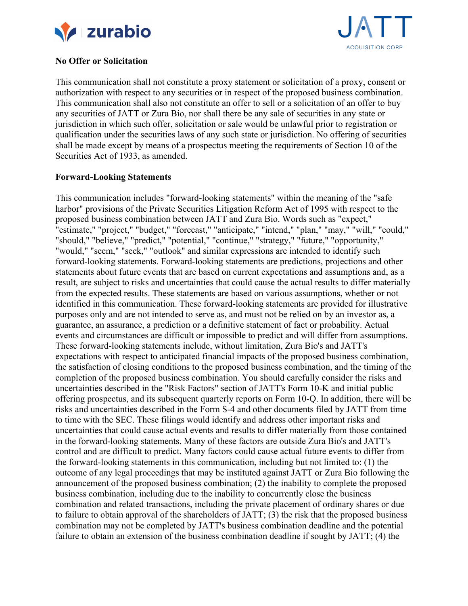



# **No Offer or Solicitation**

This communication shall not constitute a proxy statement or solicitation of a proxy, consent or authorization with respect to any securities or in respect of the proposed business combination. This communication shall also not constitute an offer to sell or a solicitation of an offer to buy any securities of JATT or Zura Bio, nor shall there be any sale of securities in any state or jurisdiction in which such offer, solicitation or sale would be unlawful prior to registration or qualification under the securities laws of any such state or jurisdiction. No offering of securities shall be made except by means of a prospectus meeting the requirements of Section 10 of the Securities Act of 1933, as amended.

## **Forward-Looking Statements**

This communication includes "forward-looking statements" within the meaning of the "safe harbor" provisions of the Private Securities Litigation Reform Act of 1995 with respect to the proposed business combination between JATT and Zura Bio. Words such as "expect," "estimate," "project," "budget," "forecast," "anticipate," "intend," "plan," "may," "will," "could," "should," "believe," "predict," "potential," "continue," "strategy," "future," "opportunity," "would," "seem," "seek," "outlook" and similar expressions are intended to identify such forward-looking statements. Forward-looking statements are predictions, projections and other statements about future events that are based on current expectations and assumptions and, as a result, are subject to risks and uncertainties that could cause the actual results to differ materially from the expected results. These statements are based on various assumptions, whether or not identified in this communication. These forward-looking statements are provided for illustrative purposes only and are not intended to serve as, and must not be relied on by an investor as, a guarantee, an assurance, a prediction or a definitive statement of fact or probability. Actual events and circumstances are difficult or impossible to predict and will differ from assumptions. These forward-looking statements include, without limitation, Zura Bio's and JATT's expectations with respect to anticipated financial impacts of the proposed business combination, the satisfaction of closing conditions to the proposed business combination, and the timing of the completion of the proposed business combination. You should carefully consider the risks and uncertainties described in the "Risk Factors" section of JATT's Form 10-K and initial public offering prospectus, and its subsequent quarterly reports on Form 10-Q. In addition, there will be risks and uncertainties described in the Form S-4 and other documents filed by JATT from time to time with the SEC. These filings would identify and address other important risks and uncertainties that could cause actual events and results to differ materially from those contained in the forward-looking statements. Many of these factors are outside Zura Bio's and JATT's control and are difficult to predict. Many factors could cause actual future events to differ from the forward-looking statements in this communication, including but not limited to: (1) the outcome of any legal proceedings that may be instituted against JATT or Zura Bio following the announcement of the proposed business combination; (2) the inability to complete the proposed business combination, including due to the inability to concurrently close the business combination and related transactions, including the private placement of ordinary shares or due to failure to obtain approval of the shareholders of JATT; (3) the risk that the proposed business combination may not be completed by JATT's business combination deadline and the potential failure to obtain an extension of the business combination deadline if sought by JATT; (4) the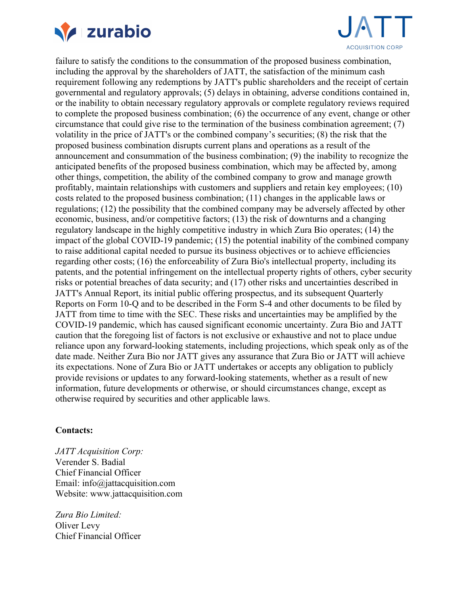



failure to satisfy the conditions to the consummation of the proposed business combination, including the approval by the shareholders of JATT, the satisfaction of the minimum cash requirement following any redemptions by JATT's public shareholders and the receipt of certain governmental and regulatory approvals; (5) delays in obtaining, adverse conditions contained in, or the inability to obtain necessary regulatory approvals or complete regulatory reviews required to complete the proposed business combination; (6) the occurrence of any event, change or other circumstance that could give rise to the termination of the business combination agreement; (7) volatility in the price of JATT's or the combined company's securities; (8) the risk that the proposed business combination disrupts current plans and operations as a result of the announcement and consummation of the business combination; (9) the inability to recognize the anticipated benefits of the proposed business combination, which may be affected by, among other things, competition, the ability of the combined company to grow and manage growth profitably, maintain relationships with customers and suppliers and retain key employees; (10) costs related to the proposed business combination; (11) changes in the applicable laws or regulations; (12) the possibility that the combined company may be adversely affected by other economic, business, and/or competitive factors; (13) the risk of downturns and a changing regulatory landscape in the highly competitive industry in which Zura Bio operates; (14) the impact of the global COVID-19 pandemic; (15) the potential inability of the combined company to raise additional capital needed to pursue its business objectives or to achieve efficiencies regarding other costs; (16) the enforceability of Zura Bio's intellectual property, including its patents, and the potential infringement on the intellectual property rights of others, cyber security risks or potential breaches of data security; and (17) other risks and uncertainties described in JATT's Annual Report, its initial public offering prospectus, and its subsequent Quarterly Reports on Form 10-Q and to be described in the Form S-4 and other documents to be filed by JATT from time to time with the SEC. These risks and uncertainties may be amplified by the COVID-19 pandemic, which has caused significant economic uncertainty. Zura Bio and JATT caution that the foregoing list of factors is not exclusive or exhaustive and not to place undue reliance upon any forward-looking statements, including projections, which speak only as of the date made. Neither Zura Bio nor JATT gives any assurance that Zura Bio or JATT will achieve its expectations. None of Zura Bio or JATT undertakes or accepts any obligation to publicly provide revisions or updates to any forward-looking statements, whether as a result of new information, future developments or otherwise, or should circumstances change, except as otherwise required by securities and other applicable laws.

#### **Contacts:**

*JATT Acquisition Corp:*  Verender S. Badial Chief Financial Officer Email: info@jattacquisition.com Website: www.jattacquisition.com

*Zura Bio Limited:*  Oliver Levy Chief Financial Officer